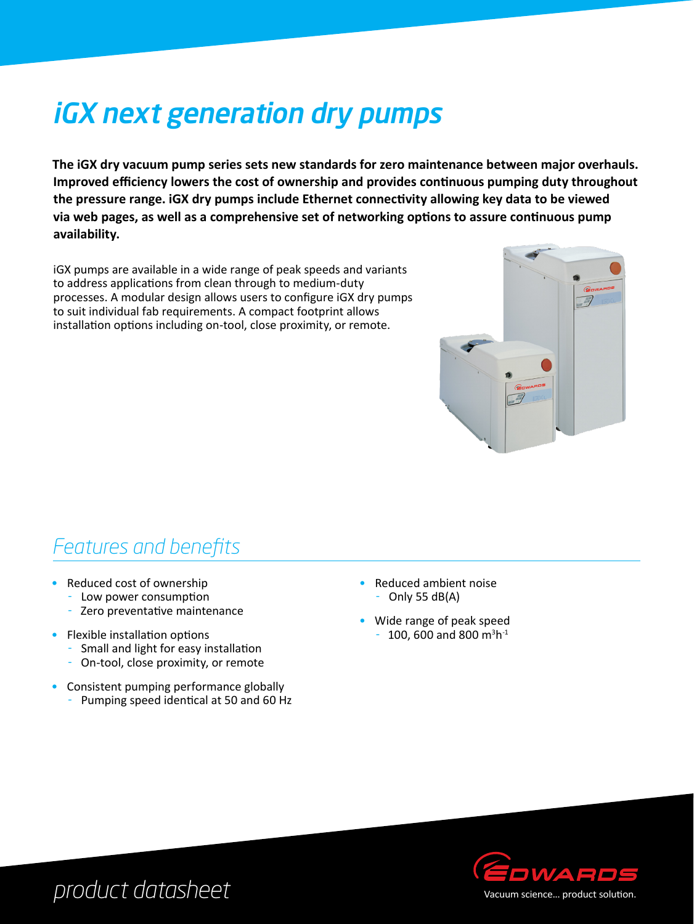# iGX next generation dry pumps

**The iGX dry vacuum pump series sets new standards for zero maintenance between major overhauls. Improved efficiency lowers the cost of ownership and provides continuous pumping duty throughout the pressure range. iGX dry pumps include Ethernet connectivity allowing key data to be viewed via web pages, as well as a comprehensive set of networking options to assure continuous pump availability.**

iGX pumps are available in a wide range of peak speeds and variants to address applications from clean through to medium-duty processes. A modular design allows users to configure iGX dry pumps to suit individual fab requirements. A compact footprint allows installation options including on-tool, close proximity, or remote.



#### *Features and benefits*

- Reduced cost of ownership
	- Low power consumption
	- Zero preventative maintenance
- Flexible installation options
	- Small and light for easy installation
	- On-tool, close proximity, or remote
- Consistent pumping performance globally
	- Pumping speed identical at 50 and 60 Hz
- Reduced ambient noise  $-$  Only 55 dB(A)
- Wide range of peak speed  $-100$ , 600 and 800 m<sup>3</sup>h<sup>-1</sup>



*product datasheet*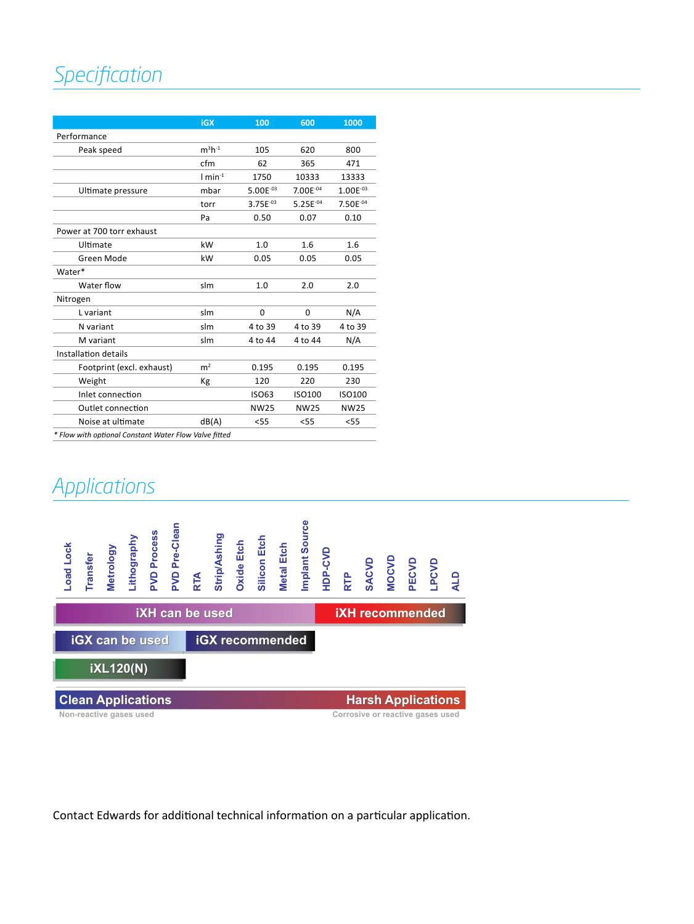## *Specification*

|                                                       | <b>iGX</b>            | 100           | 600           | 1000          |
|-------------------------------------------------------|-----------------------|---------------|---------------|---------------|
| Performance                                           |                       |               |               |               |
| Peak speed                                            | $m^3h^{-1}$           | 105           | 620           | 800           |
|                                                       | cfm                   | 62            | 365           | 471           |
|                                                       | $1$ min <sup>-1</sup> | 1750          | 10333         | 13333         |
| Ultimate pressure                                     | mbar                  | $5.00E^{-03}$ | 7.00E-04      | $1.00E^{-03}$ |
|                                                       | torr                  | $3.75E^{-03}$ | $5.25E^{-04}$ | 7.50E-04      |
|                                                       | Pa                    | 0.50          | 0.07          | 0.10          |
| Power at 700 torr exhaust                             |                       |               |               |               |
| Ultimate                                              | kW                    | 1.0           | 1.6           | 1.6           |
| Green Mode                                            | kW                    | 0.05          | 0.05          | 0.05          |
| Water*                                                |                       |               |               |               |
| Water flow                                            | slm                   | 1.0           | 2.0           | 2.0           |
| Nitrogen                                              |                       |               |               |               |
| L variant                                             | slm                   | 0             | 0             | N/A           |
| N variant                                             | slm                   | 4 to 39       | 4 to 39       | 4 to 39       |
| M variant                                             | slm                   | 4 to 44       | 4 to 44       | N/A           |
| Installation details                                  |                       |               |               |               |
| Footprint (excl. exhaust)                             | m <sup>2</sup>        | 0.195         | 0.195         | 0.195         |
| Weight                                                | Kg                    | 120           | 220           | 230           |
| Inlet connection                                      |                       | <b>ISO63</b>  | ISO100        | ISO100        |
| Outlet connection                                     |                       | <b>NW25</b>   | <b>NW25</b>   | <b>NW25</b>   |
| Noise at ultimate                                     | dB(A)                 | $<$ 55        | < 55          | < 55          |
| * Flow with optional Constant Water Flow Valve fitted |                       |               |               |               |

#### *Applications*

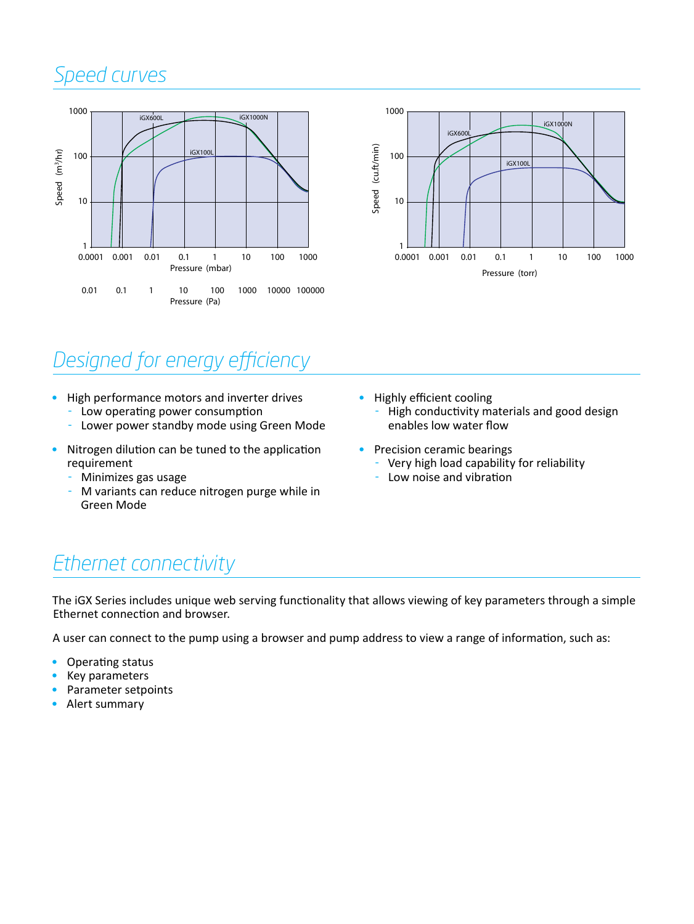# *Speed curves*





# *Designed for energy efficiency*

- High performance motors and inverter drives<br> $\sim 1$  ow operating power consumption
	- $\sim$  Low operating power consumption<br> $\sim$  Lower power standby mode using G
	- Lower power standby mode using Green Mode
- Nitrogen dilution can be tuned to the application requirement
	- Minimizes gas usage
	- M variants can reduce nitrogen purge while in Green Mode
- Highly efficient cooling
	- High conductivity materials and good design enables low water flow
- Precision ceramic bearings
	- Very high load capability for reliability
	- Low noise and vibration

#### *Ethernet connectivity*

The iGX Series includes unique web serving functionality that allows viewing of key parameters through a simple Ethernet connection and browser.

A user can connect to the pump using a browser and pump address to view a range of information, such as:

- Operating status
- Key parameters
- Parameter setpoints
- Alert summary